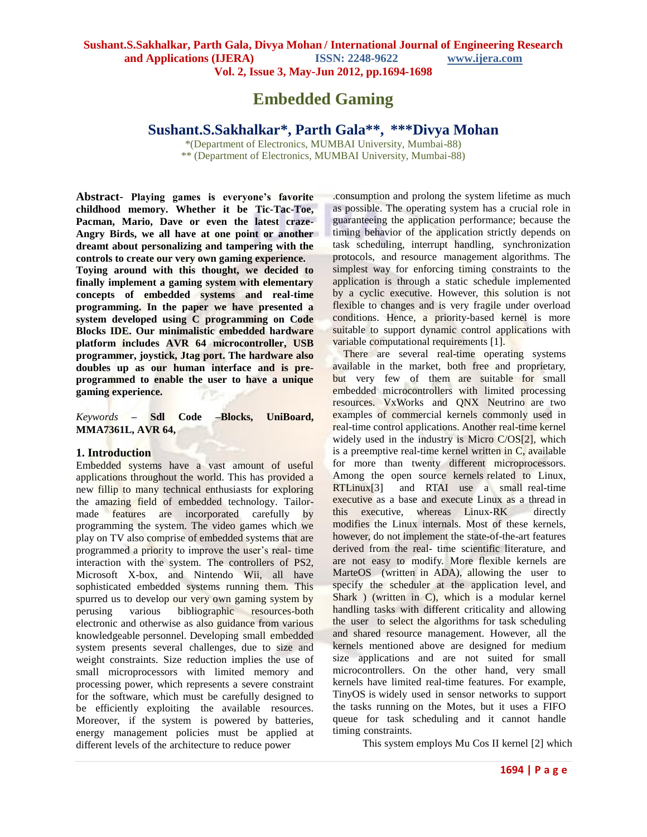# **Embedded Gaming**

## **Sushant.S.Sakhalkar\* , Parth Gala\*\* , \*\*\*Divya Mohan**

\*(Department of Electronics, MUMBAI University, Mumbai-88) \*\* (Department of Electronics, MUMBAI University, Mumbai-88)

**Abstract**- **Playing games is everyone's favorite childhood memory. Whether it be Tic-Tac-Toe, Pacman, Mario, Dave or even the latest craze-Angry Birds, we all have at one point or another dreamt about personalizing and tampering with the controls to create our very own gaming experience.**

**Toying around with this thought, we decided to finally implement a gaming system with elementary concepts of embedded systems and real-time programming. In the paper we have presented a system developed using C programming on Code Blocks IDE. Our minimalistic embedded hardware platform includes AVR 64 microcontroller, USB programmer, joystick, Jtag port. The hardware also doubles up as our human interface and is preprogrammed to enable the user to have a unique gaming experience.**

*Keywords* **– Sdl Code –Blocks, UniBoard, MMA7361L, AVR 64,**

#### **1. Introduction**

Embedded systems have a vast amount of useful applications throughout the world. This has provided a new fillip to many technical enthusiasts for exploring the amazing field of embedded technology. Tailormade features are incorporated carefully by programming the system. The video games which we play on TV also comprise of embedded systems that are programmed a priority to improve the user's real- time interaction with the system. The controllers of PS2, Microsoft X-box, and Nintendo Wii, all have sophisticated embedded systems running them. This spurred us to develop our very own gaming system by perusing various bibliographic resources-both electronic and otherwise as also guidance from various knowledgeable personnel. Developing small embedded system presents several challenges, due to size and weight constraints. Size reduction implies the use of small microprocessors with limited memory and processing power, which represents a severe constraint for the software, which must be carefully designed to be efficiently exploiting the available resources. Moreover, if the system is powered by batteries, energy management policies must be applied at different levels of the architecture to reduce power

.consumption and prolong the system lifetime as much as possible. The operating system has a crucial role in guaranteeing the application performance; because the timing behavior of the application strictly depends on task scheduling, interrupt handling, synchronization protocols, and resource management algorithms. The simplest way for enforcing timing constraints to the application is through a static schedule implemented by a cyclic executive. However, this solution is not flexible to changes and is very fragile under overload conditions. Hence, a priority-based kernel is more suitable to support dynamic control applications with variable computational requirements [1].

There are several real-time operating systems available in the market, both free and proprietary, but very few of them are suitable for small embedded microcontrollers with limited processing resources. VxWorks and QNX Neutrino are two examples of commercial kernels commonly used in real-time control applications. Another real-time kernel widely used in the industry is Micro C/OS[2], which is a preemptive real-time kernel written in C, available for more than twenty different microprocessors. Among the open source kernels related to Linux, RTLinux[3] and RTAI use a small real-time executive as a base and execute Linux as a thread in this executive, whereas Linux-RK directly modifies the Linux internals. Most of these kernels, however, do not implement the state-of-the-art features derived from the real- time scientific literature, and are not easy to modify. More flexible kernels are MarteOS (written in ADA), allowing the user to specify the scheduler at the application level, and Shark ) (written in C), which is a modular kernel handling tasks with different criticality and allowing the user to select the algorithms for task scheduling and shared resource management. However, all the kernels mentioned above are designed for medium size applications and are not suited for small microcontrollers. On the other hand, very small kernels have limited real-time features. For example, TinyOS is widely used in sensor networks to support the tasks running on the Motes, but it uses a FIFO queue for task scheduling and it cannot handle timing constraints.

This system employs Mu Cos II kernel [2] which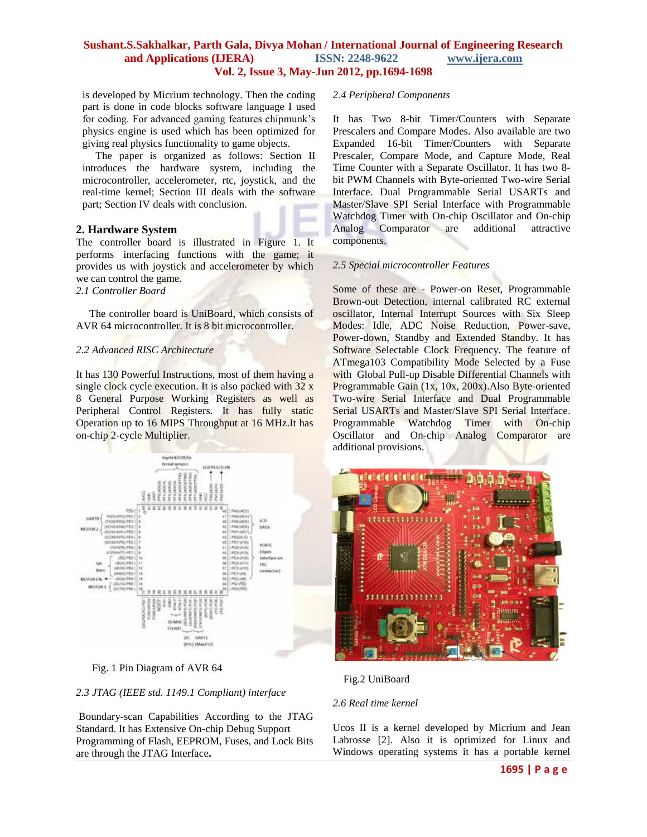is developed by Micrium technology. Then the coding part is done in code blocks software language I used for coding. For advanced gaming features chipmunk's physics engine is used which has been optimized for giving real physics functionality to game objects.

 The paper is organized as follows: Section II introduces the hardware system, including the microcontroller, accelerometer, rtc, joystick, and the real-time kernel; Section III deals with the software part; Section IV deals with conclusion.

### **2. Hardware System**

The controller board is illustrated in Figure 1. It performs interfacing functions with the game; it provides us with joystick and accelerometer by which we can control the game. *2.1 Controller Board*

 The controller board is UniBoard, which consists of AVR 64 microcontroller. It is 8 bit microcontroller.

### *2.2 Advanced RISC Architecture*

It has 130 Powerful Instructions, most of them having a single clock cycle execution. It is also packed with 32 x 8 General Purpose Working Registers as well as Peripheral Control Registers. It has fully static Operation up to 16 MIPS Throughput at 16 MHz.It has on-chip 2-cycle Multiplier.



Fig. 1 Pin Diagram of AVR 64

### *2.3 JTAG (IEEE std. 1149.1 Compliant) interface*

Boundary-scan Capabilities According to the JTAG Standard. It has Extensive On-chip Debug Support Programming of Flash, EEPROM, Fuses, and Lock Bits are through the JTAG Interface**.**

### *2.4 Peripheral Components*

It has Two 8-bit Timer/Counters with Separate Prescalers and Compare Modes. Also available are two Expanded 16-bit Timer/Counters with Separate Prescaler, Compare Mode, and Capture Mode, Real Time Counter with a Separate Oscillator. It has two 8 bit PWM Channels with Byte-oriented Two-wire Serial Interface. Dual Programmable Serial USARTs and Master/Slave SPI Serial Interface with Programmable Watchdog Timer with On-chip Oscillator and On-chip Analog Comparator are additional attractive components.

### *2.5 Special microcontroller Features*

Some of these are - Power-on Reset, Programmable Brown-out Detection, internal calibrated RC external oscillator, Internal Interrupt Sources with Six Sleep Modes: Idle, ADC Noise Reduction, Power-save, Power-down, Standby and Extended Standby. It has Software Selectable Clock Frequency. The feature of ATmega103 Compatibility Mode Selected by a Fuse with Global Pull-up Disable Differential Channels with Programmable Gain (1x, 10x, 200x).Also Byte-oriented Two-wire Serial Interface and Dual Programmable Serial USARTs and Master/Slave SPI Serial Interface. Programmable Watchdog Timer with On-chip Oscillator and On-chip Analog Comparator are additional provisions.



Fig.2 UniBoard

### *2.6 Real time kernel*

Ucos II is a kernel developed by Micrium and Jean Labrosse [2]. Also it is optimized for Linux and Windows operating systems it has a portable kernel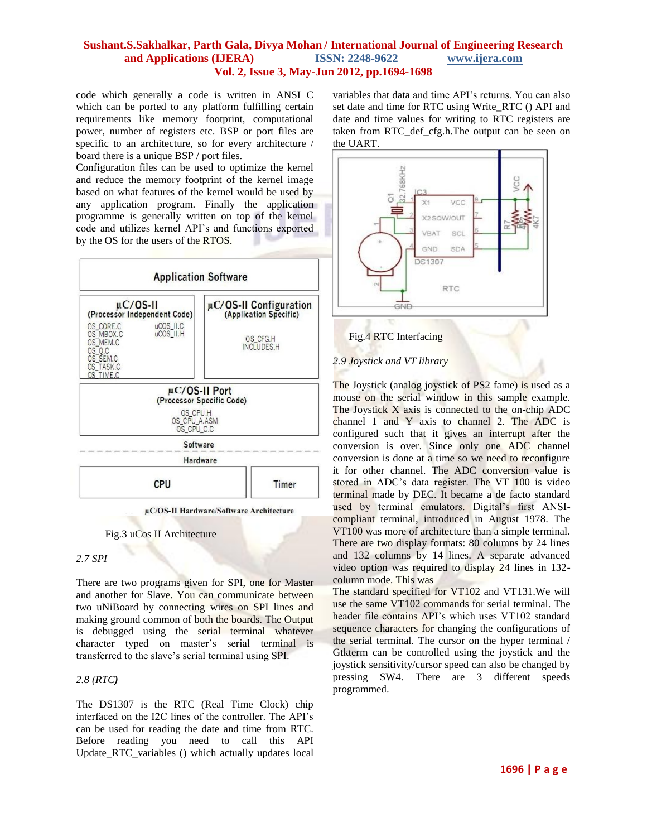code which generally a code is written in ANSI C which can be ported to any platform fulfilling certain requirements like memory footprint, computational power, number of registers etc. BSP or port files are specific to an architecture, so for every architecture / board there is a unique BSP / port files.

Configuration files can be used to optimize the kernel and reduce the memory footprint of the kernel image based on what features of the kernel would be used by any application program. Finally the application programme is generally written on top of the kernel code and utilizes kernel API's and functions exported by the OS for the users of the RTOS.



Fig.3 uCos II Architecture

### *2.7 SPI*

There are two programs given for SPI, one for Master and another for Slave. You can communicate between two uNiBoard by connecting wires on SPI lines and making ground common of both the boards. The Output is debugged using the serial terminal whatever character typed on master's serial terminal is transferred to the slave's serial terminal using SPI.

### *2.8 (RTC)*

The DS1307 is the RTC (Real Time Clock) chip interfaced on the I2C lines of the controller. The API's can be used for reading the date and time from RTC. Before reading you need to call this API Update\_RTC\_variables () which actually updates local

variables that data and time API's returns. You can also set date and time for RTC using Write\_RTC () API and date and time values for writing to RTC registers are taken from RTC\_def\_cfg.h.The output can be seen on the UART.



### Fig.4 RTC Interfacing

### *2.9 Joystick and VT library*

The Joystick (analog joystick of PS2 fame) is used as a mouse on the serial window in this sample example. The Joystick X axis is connected to the on-chip ADC channel 1 and Y axis to channel 2. The ADC is configured such that it gives an interrupt after the conversion is over. Since only one ADC channel conversion is done at a time so we need to reconfigure it for other channel. The ADC conversion value is stored in ADC's data register. The VT 100 is video terminal made by DEC. It became a de facto standard used by terminal emulators. Digital's first ANSIcompliant terminal, introduced in August 1978. The VT100 was more of architecture than a simple terminal. There are two display formats: 80 columns by 24 lines and 132 columns by 14 lines. A separate advanced video option was required to display 24 lines in 132 column mode. This was

The standard specified for VT102 and VT131.We will use the same VT102 commands for serial terminal. The header file contains API's which uses VT102 standard sequence characters for changing the configurations of the serial terminal. The cursor on the hyper terminal / Gtkterm can be controlled using the joystick and the joystick sensitivity/cursor speed can also be changed by pressing SW4. There are 3 different speeds programmed.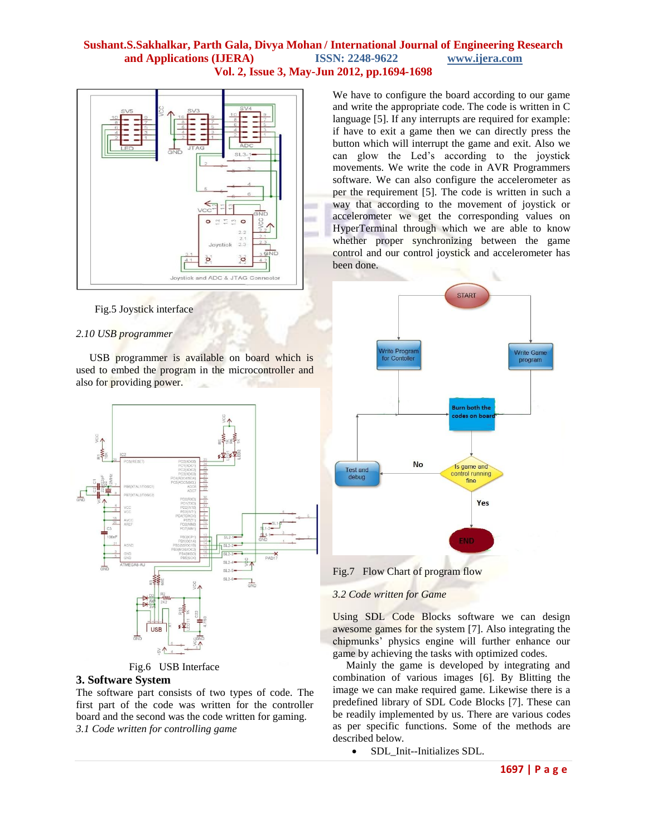

Fig.5 Joystick interface

### *2.10 USB programmer*

 USB programmer is available on board which is used to embed the program in the microcontroller and also for providing power.



Fig.6 USB Interface

#### **3. Software System**

The software part consists of two types of code. The first part of the code was written for the controller board and the second was the code written for gaming. *3.1 Code written for controlling game*

We have to configure the board according to our game and write the appropriate code. The code is written in C language [5]. If any interrupts are required for example: if have to exit a game then we can directly press the button which will interrupt the game and exit. Also we can glow the Led's according to the joystick movements. We write the code in AVR Programmers software. We can also configure the accelerometer as per the requirement [5]. The code is written in such a way that according to the movement of joystick or accelerometer we get the corresponding values on HyperTerminal through which we are able to know whether proper synchronizing between the game control and our control joystick and accelerometer has been done.



Fig.7 Flow Chart of program flow

#### *3.2 Code written for Game*

Using SDL Code Blocks software we can design awesome games for the system [7]. Also integrating the chipmunks' physics engine will further enhance our game by achieving the tasks with optimized codes.

 Mainly the game is developed by integrating and combination of various images [6]. By Blitting the image we can make required game. Likewise there is a predefined library of SDL Code Blocks [7]. These can be readily implemented by us. There are various codes as per specific functions. Some of the methods are described below.

• SDL Init--Initializes SDL.